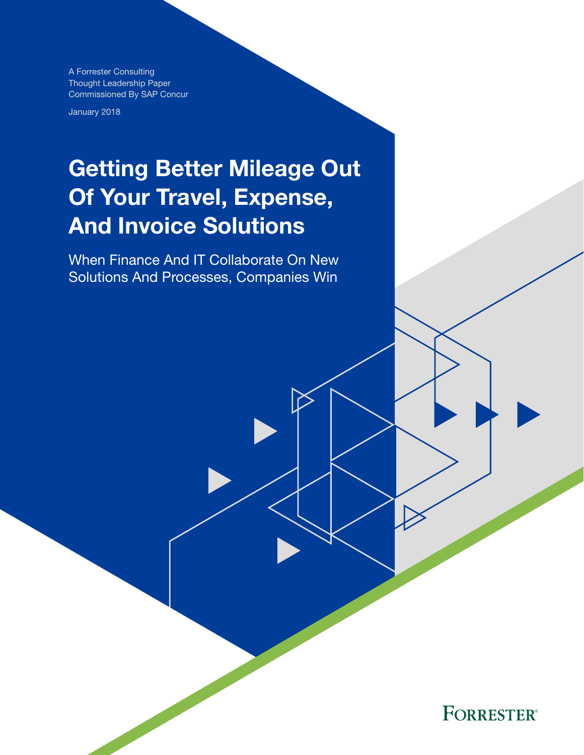A Forrester Consulting Thought Leadership Paper Commissioned By SAP Concur

January 2018

# Getting Better Mileage Out Of Your Travel, Expense, And Invoice Solutions

When Finance And IT Collaborate On New Solutions And Processes, Companies Win

**FORRESTER®**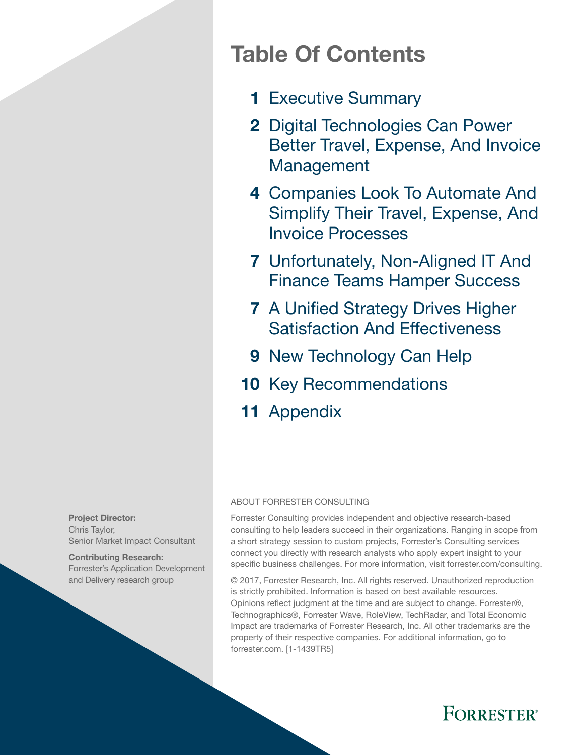## Table Of Contents

- 1 [Executive Summary](#page-2-0)
- 2 Digital Technologies Can Power [Better Travel, Expense, And Invoice](#page-3-0)  [Management](#page-3-0)
- 4 Companies Look To Automate And [Simplify Their Travel, Expense, And](#page-5-0)  [Invoice Processes](#page-5-0)
- 7 Unfortunately, Non-Aligned IT And [Finance Teams Hamper Success](#page-8-0)
- **7 A Unified Strategy Drives Higher** [Satisfaction And Effectiveness](#page-8-0)
- 9 New Technology Can Help
- 10 [Key Recommendations](#page-11-0)
- 11 [Appendix](#page-12-0)

#### ABOUT FORRESTER CONSULTING

Forrester Consulting provides independent and objective research-based consulting to help leaders succeed in their organizations. Ranging in scope from a short strategy session to custom projects, Forrester's Consulting services connect you directly with research analysts who apply expert insight to your specifc business challenges. For more information, visit forrester.com/consulting.

© 2017, Forrester Research, Inc. All rights reserved. Unauthorized reproduction is strictly prohibited. Information is based on best available resources. Opinions refect judgment at the time and are subject to change. Forrester®, Technographics®, Forrester Wave, RoleView, TechRadar, and Total Economic Impact are trademarks of Forrester Research, Inc. All other trademarks are the property of their respective companies. For additional information, go to forrester.com. [1-1439TR5]



Contributing Research: Forrester's Application Development and Delivery research group

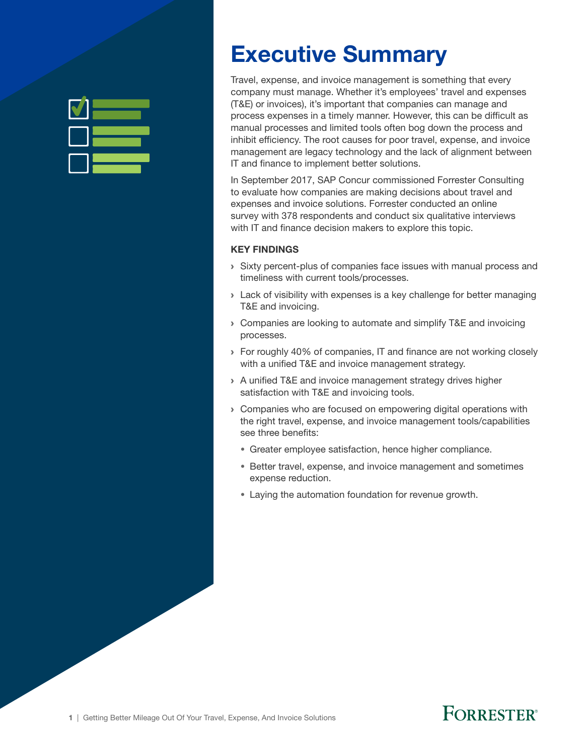<span id="page-2-0"></span>

## Executive Summary

Travel, expense, and invoice management is something that every company must manage. Whether it's employees' travel and expenses (T&E) or invoices), it's important that companies can manage and process expenses in a timely manner. However, this can be difficult as manual processes and limited tools often bog down the process and inhibit efficiency. The root causes for poor travel, expense, and invoice management are legacy technology and the lack of alignment between IT and finance to implement better solutions.

In September 2017, SAP Concur commissioned Forrester Consulting to evaluate how companies are making decisions about travel and expenses and invoice solutions. Forrester conducted an online survey with 378 respondents and conduct six qualitative interviews with IT and finance decision makers to explore this topic.

#### KEY FINDINGS

- › Sixty percent-plus of companies face issues with manual process and timeliness with current tools/processes.
- T&E and invoicing. › Lack of visibility with expenses is a key challenge for better managing
- › Companies are looking to automate and simplify T&E and invoicing processes.
- › For roughly 40% of companies, IT and fnance are not working closely with a unified T&E and invoice management strategy.
- › A unifed T&E and invoice management strategy drives higher satisfaction with T&E and invoicing tools.
- › Companies who are focused on empowering digital operations with the right travel, expense, and invoice management tools/capabilities see three benefits:
	- Greater employee satisfaction, hence higher compliance.
	- Better travel, expense, and invoice management and sometimes expense reduction.
	- Laying the automation foundation for revenue growth.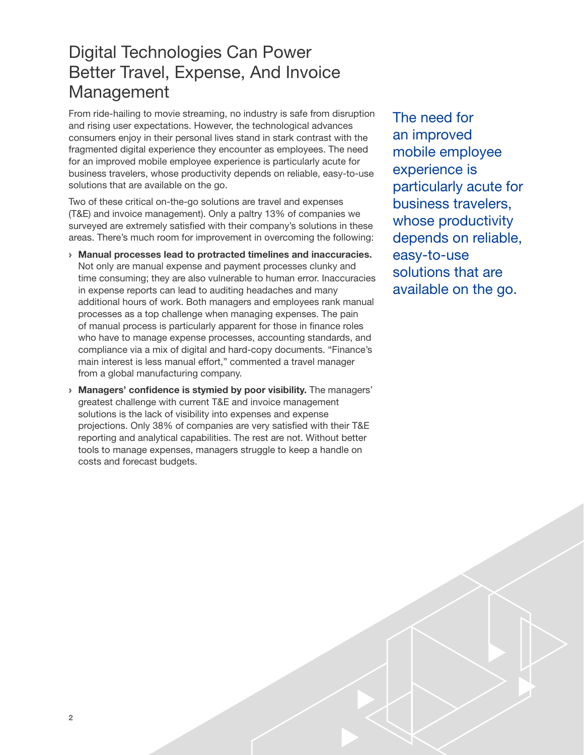### <span id="page-3-0"></span>Digital Technologies Can Power Better Travel, Expense, And Invoice Management

From ride-hailing to movie streaming, no industry is safe from disruption and rising user expectations. However, the technological advances consumers enjoy in their personal lives stand in stark contrast with the fragmented digital experience they encounter as employees. The need for an improved mobile employee experience is particularly acute for business travelers, whose productivity depends on reliable, easy-to-use solutions that are available on the go.

Two of these critical on-the-go solutions are travel and expenses (T&E) and invoice management). Only a paltry 13% of companies we surveyed are extremely satisfied with their company's solutions in these areas. There's much room for improvement in overcoming the following:

- › Manual processes lead to protracted timelines and inaccuracies. Not only are manual expense and payment processes clunky and time consuming; they are also vulnerable to human error. Inaccuracies in expense reports can lead to auditing headaches and many additional hours of work. Both managers and employees rank manual processes as a top challenge when managing expenses. The pain of manual process is particularly apparent for those in finance roles who have to manage expense processes, accounting standards, and compliance via a mix of digital and hard-copy documents. "Finance's main interest is less manual effort," commented a travel manager from a global manufacturing company.
- › Managers' confidence is stymied by poor visibility. The managers' greatest challenge with current T&E and invoice management solutions is the lack of visibility into expenses and expense projections. Only 38% of companies are very satisfed with their T&E reporting and analytical capabilities. The rest are not. Without better tools to manage expenses, managers struggle to keep a handle on costs and forecast budgets.

The need for an improved mobile employee experience is particularly acute for business travelers, whose productivity depends on reliable, easy-to-use solutions that are available on the go.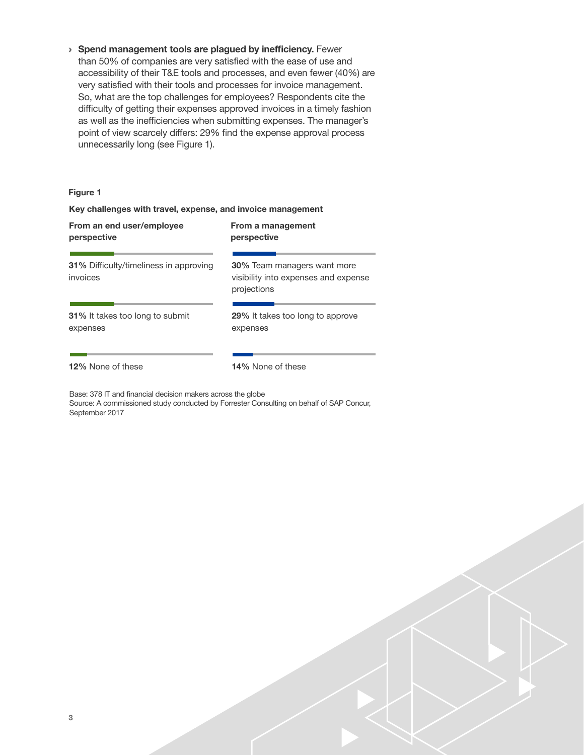› Spend management tools are plagued by inefficiency. Fewer than 50% of companies are very satisfed with the ease of use and accessibility of their T&E tools and processes, and even fewer (40%) are very satisfed with their tools and processes for invoice management. So, what are the top challenges for employees? Respondents cite the difficulty of getting their expenses approved invoices in a timely fashion as well as the inefficiencies when submitting expenses. The manager's point of view scarcely differs: 29% find the expense approval process unnecessarily long (see Figure 1).

#### Figure 1

#### Key challenges with travel, expense, and invoice management

| From an end user/employee                                 | From a management                                                                         |
|-----------------------------------------------------------|-------------------------------------------------------------------------------------------|
| perspective                                               | perspective                                                                               |
| <b>31%</b> Difficulty/timeliness in approving<br>invoices | <b>30%</b> Team managers want more<br>visibility into expenses and expense<br>projections |
| 31% It takes too long to submit                           | 29% It takes too long to approve                                                          |
| expenses                                                  | expenses                                                                                  |
| 12% None of these                                         | 14% None of these                                                                         |

Base: 378 IT and fnancial decision makers across the globe

Source: A commissioned study conducted by Forrester Consulting on behalf of SAP Concur, September 2017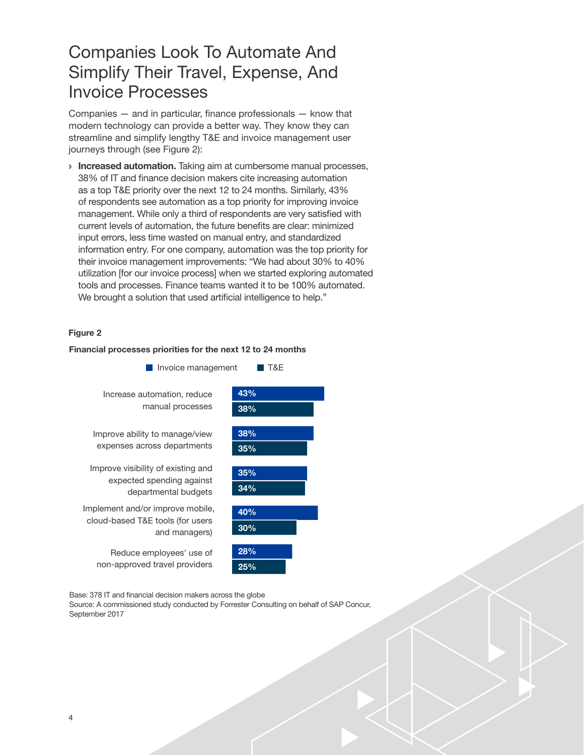### <span id="page-5-0"></span>Companies Look To Automate And Simplify Their Travel, Expense, And Invoice Processes

Companies  $-$  and in particular, finance professionals  $-$  know that modern technology can provide a better way. They know they can streamline and simplify lengthy T&E and invoice management user journeys through (see Figure 2):

**Increased automation.** Taking aim at cumbersome manual processes, 38% of IT and finance decision makers cite increasing automation as a top T&E priority over the next 12 to 24 months. Similarly, 43% of respondents see automation as a top priority for improving invoice management. While only a third of respondents are very satisfed with current levels of automation, the future benefts are clear: minimized input errors, less time wasted on manual entry, and standardized information entry. For one company, automation was the top priority for their invoice management improvements: "We had about 30% to 40% utilization [for our invoice process] when we started exploring automated tools and processes. Finance teams wanted it to be 100% automated. We brought a solution that used artificial intelligence to help."

#### Figure 2

#### Financial processes priorities for the next 12 to 24 months



Base: 378 IT and fnancial decision makers across the globe Source: A commissioned study conducted by Forrester Consulting on behalf of SAP Concur, September 2017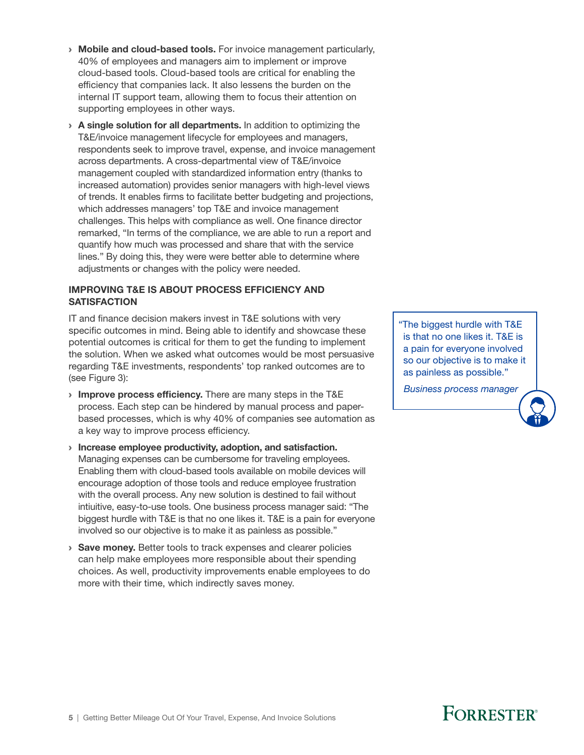- › Mobile and cloud-based tools. For invoice management particularly, 40% of employees and managers aim to implement or improve cloud-based tools. Cloud-based tools are critical for enabling the efficiency that companies lack. It also lessens the burden on the internal IT support team, allowing them to focus their attention on supporting employees in other ways.
- › A single solution for all departments. In addition to optimizing the T&E/invoice management lifecycle for employees and managers, respondents seek to improve travel, expense, and invoice management across departments. A cross-departmental view of T&E/invoice management coupled with standardized information entry (thanks to increased automation) provides senior managers with high-level views of trends. It enables frms to facilitate better budgeting and projections, which addresses managers' top T&E and invoice management challenges. This helps with compliance as well. One fnance director remarked, "In terms of the compliance, we are able to run a report and quantify how much was processed and share that with the service lines." By doing this, they were were better able to determine where adjustments or changes with the policy were needed.

#### IMPROVING T&E IS ABOUT PROCESS EFFICIENCY AND **SATISFACTION**

IT and finance decision makers invest in T&E solutions with very specific outcomes in mind. Being able to identify and showcase these potential outcomes is critical for them to get the funding to implement the solution. When we asked what outcomes would be most persuasive regarding T&E investments, respondents' top ranked outcomes are to (see Figure 3):

- **Improve process efficiency.** There are many steps in the T&E process. Each step can be hindered by manual process and paperbased processes, which is why 40% of companies see automation as a key way to improve process efficiency.
- › Increase employee productivity, adoption, and satisfaction. Managing expenses can be cumbersome for traveling employees. Enabling them with cloud-based tools available on mobile devices will encourage adoption of those tools and reduce employee frustration with the overall process. Any new solution is destined to fail without intiuitive, easy-to-use tools. One business process manager said: "The biggest hurdle with T&E is that no one likes it. T&E is a pain for everyone involved so our objective is to make it as painless as possible."
- **Save money.** Better tools to track expenses and clearer policies can help make employees more responsible about their spending choices. As well, productivity improvements enable employees to do more with their time, which indirectly saves money.

"The biggest hurdle with T&E is that no one likes it. T&E is a pain for everyone involved so our objective is to make it as painless as possible."

 *Business process manager*

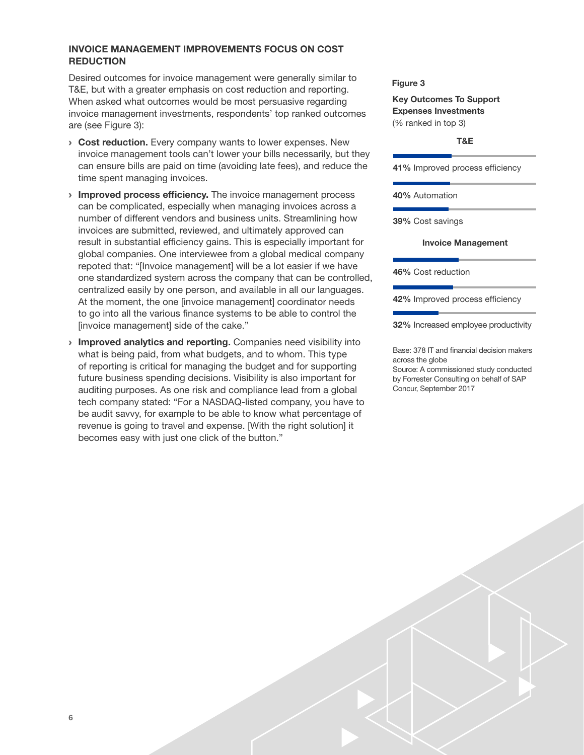#### INVOICE MANAGEMENT IMPROVEMENTS FOCUS ON COST **REDUCTION**

Desired outcomes for invoice management were generally similar to T&E, but with a greater emphasis on cost reduction and reporting. When asked what outcomes would be most persuasive regarding invoice management investments, respondents' top ranked outcomes are (see Figure 3):

- **Cost reduction.** Every company wants to lower expenses. New invoice management tools can't lower your bills necessarily, but they can ensure bills are paid on time (avoiding late fees), and reduce the time spent managing invoices.
- **Improved process efficiency.** The invoice management process can be complicated, especially when managing invoices across a number of different vendors and business units. Streamlining how invoices are submitted, reviewed, and ultimately approved can result in substantial efficiency gains. This is especially important for global companies. One interviewee from a global medical company repoted that: "[Invoice management] will be a lot easier if we have one standardized system across the company that can be controlled, centralized easily by one person, and available in all our languages. At the moment, the one [invoice management] coordinator needs to go into all the various fnance systems to be able to control the [invoice management] side of the cake."
- **Improved analytics and reporting.** Companies need visibility into what is being paid, from what budgets, and to whom. This type of reporting is critical for managing the budget and for supporting future business spending decisions. Visibility is also important for auditing purposes. As one risk and compliance lead from a global tech company stated: "For a NASDAQ-listed company, you have to be audit savvy, for example to be able to know what percentage of revenue is going to travel and expense. [With the right solution] it becomes easy with just one click of the button."

#### Figure 3

Key Outcomes To Support Expenses Investments (% ranked in top 3)

#### T&E

41% Improved process efficiency

40% Automation

39% Cost savings

#### Invoice Management

46% Cost reduction

42% Improved process efficiency

32% Increased employee productivity

Base: 378 IT and financial decision makers across the globe

Source: A commissioned study conducted by Forrester Consulting on behalf of SAP Concur, September 2017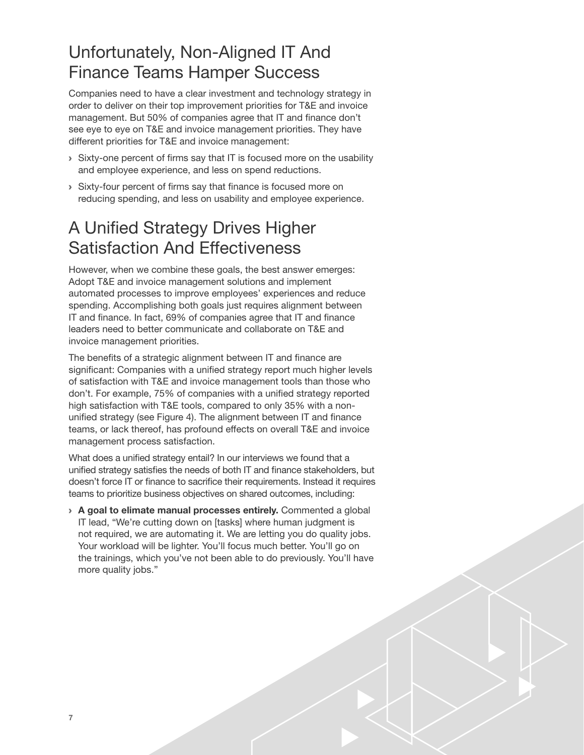### <span id="page-8-0"></span>Unfortunately, Non-Aligned IT And Finance Teams Hamper Success

Companies need to have a clear investment and technology strategy in order to deliver on their top improvement priorities for T&E and invoice management. But 50% of companies agree that IT and finance don't see eye to eye on T&E and invoice management priorities. They have different priorities for T&E and invoice management:

- › Sixty-one percent of frms say that IT is focused more on the usability and employee experience, and less on spend reductions.
- › Sixty-four percent of frms say that fnance is focused more on reducing spending, and less on usability and employee experience.

### A Unifed Strategy Drives Higher Satisfaction And Effectiveness

However, when we combine these goals, the best answer emerges: Adopt T&E and invoice management solutions and implement automated processes to improve employees' experiences and reduce spending. Accomplishing both goals just requires alignment between IT and finance. In fact, 69% of companies agree that IT and finance leaders need to better communicate and collaborate on T&E and invoice management priorities.

The benefits of a strategic alignment between IT and finance are signifcant: Companies with a unifed strategy report much higher levels of satisfaction with T&E and invoice management tools than those who don't. For example, 75% of companies with a unifed strategy reported high satisfaction with T&E tools, compared to only 35% with a nonunified strategy (see Figure 4). The alignment between IT and finance teams, or lack thereof, has profound effects on overall T&E and invoice management process satisfaction.

What does a unifed strategy entail? In our interviews we found that a unifed strategy satisfes the needs of both IT and fnance stakeholders, but doesn't force IT or finance to sacrifice their requirements. Instead it requires teams to prioritize business objectives on shared outcomes, including:

› A goal to elimate manual processes entirely. Commented a global IT lead, "We're cutting down on [tasks] where human judgment is not required, we are automating it. We are letting you do quality jobs. Your workload will be lighter. You'll focus much better. You'll go on the trainings, which you've not been able to do previously. You'll have more quality jobs."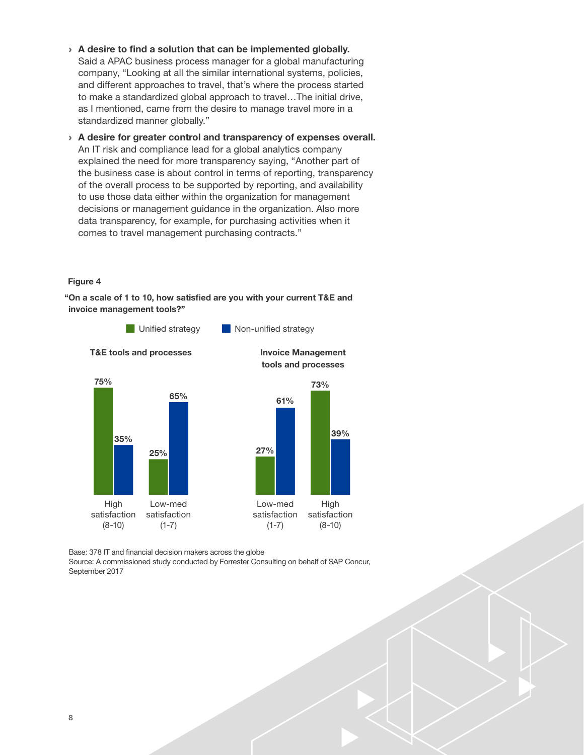- › A desire to find a solution that can be implemented globally. Said a APAC business process manager for a global manufacturing company, "Looking at all the similar international systems, policies, and different approaches to travel, that's where the process started to make a standardized global approach to travel…The initial drive, as I mentioned, came from the desire to manage travel more in a standardized manner globally."
- › A desire for greater control and transparency of expenses overall. An IT risk and compliance lead for a global analytics company explained the need for more transparency saying, "Another part of the business case is about control in terms of reporting, transparency of the overall process to be supported by reporting, and availability to use those data either within the organization for management decisions or management guidance in the organization. Also more data transparency, for example, for purchasing activities when it comes to travel management purchasing contracts."

#### Figure 4

"On a scale of 1 to 10, how satisfied are you with your current T&E and invoice management tools?"



Base: 378 IT and fnancial decision makers across the globe

Source: A commissioned study conducted by Forrester Consulting on behalf of SAP Concur, September 2017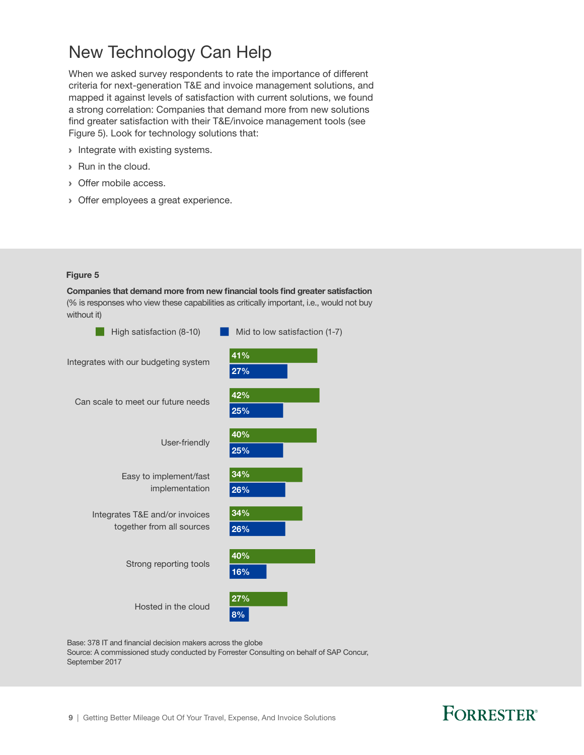### <span id="page-10-0"></span>New Technology Can Help

When we asked survey respondents to rate the importance of different criteria for next-generation T&E and invoice management solutions, and mapped it against levels of satisfaction with current solutions, we found a strong correlation: Companies that demand more from new solutions find greater satisfaction with their T&E/invoice management tools (see Figure 5). Look for technology solutions that:

- › Integrate with existing systems.
- › Run in the cloud.
- › Offer mobile access.
- › Offer employees a great experience.

#### Figure 5

Companies that demand more from new financial tools find greater satisfaction (% is responses who view these capabilities as critically important, i.e., would not buy without it)



Base: 378 IT and financial decision makers across the globe

Source: A commissioned study conducted by Forrester Consulting on behalf of SAP Concur, September 2017

### FORRESTER®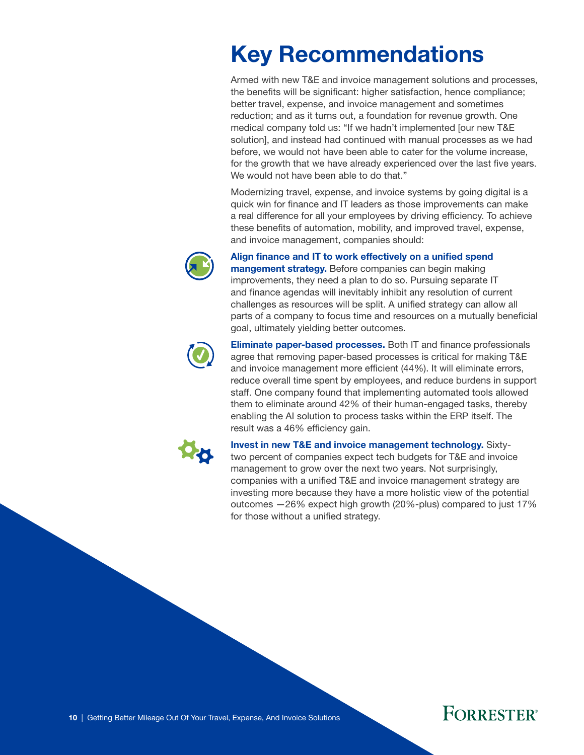# <span id="page-11-0"></span>Key Recommendations

Armed with new T&E and invoice management solutions and processes, the benefits will be significant: higher satisfaction, hence compliance; better travel, expense, and invoice management and sometimes reduction; and as it turns out, a foundation for revenue growth. One medical company told us: "If we hadn't implemented [our new T&E solution], and instead had continued with manual processes as we had before, we would not have been able to cater for the volume increase, for the growth that we have already experienced over the last five years. We would not have been able to do that."

Modernizing travel, expense, and invoice systems by going digital is a quick win for fnance and IT leaders as those improvements can make a real difference for all your employees by driving efficiency. To achieve these benefts of automation, mobility, and improved travel, expense, and invoice management, companies should:



#### Align finance and IT to work effectively on a unified spend

**mangement strategy.** Before companies can begin making improvements, they need a plan to do so. Pursuing separate IT and finance agendas will inevitably inhibit any resolution of current challenges as resources will be split. A unifed strategy can allow all parts of a company to focus time and resources on a mutually beneficial goal, ultimately yielding better outcomes.



Eliminate paper-based processes. Both IT and finance professionals agree that removing paper-based processes is critical for making T&E and invoice management more efficient (44%). It will eliminate errors, reduce overall time spent by employees, and reduce burdens in support staff. One company found that implementing automated tools allowed them to eliminate around 42% of their human-engaged tasks, thereby enabling the AI solution to process tasks within the ERP itself. The result was a 46% efficiency gain.



Invest in new T&E and invoice management technology. Sixtytwo percent of companies expect tech budgets for T&E and invoice management to grow over the next two years. Not surprisingly, companies with a unifed T&E and invoice management strategy are investing more because they have a more holistic view of the potential outcomes —26% expect high growth (20%-plus) compared to just 17% for those without a unifed strategy.



10 | Getting Better Mileage Out Of Your Travel, Expense, And Invoice Solutions